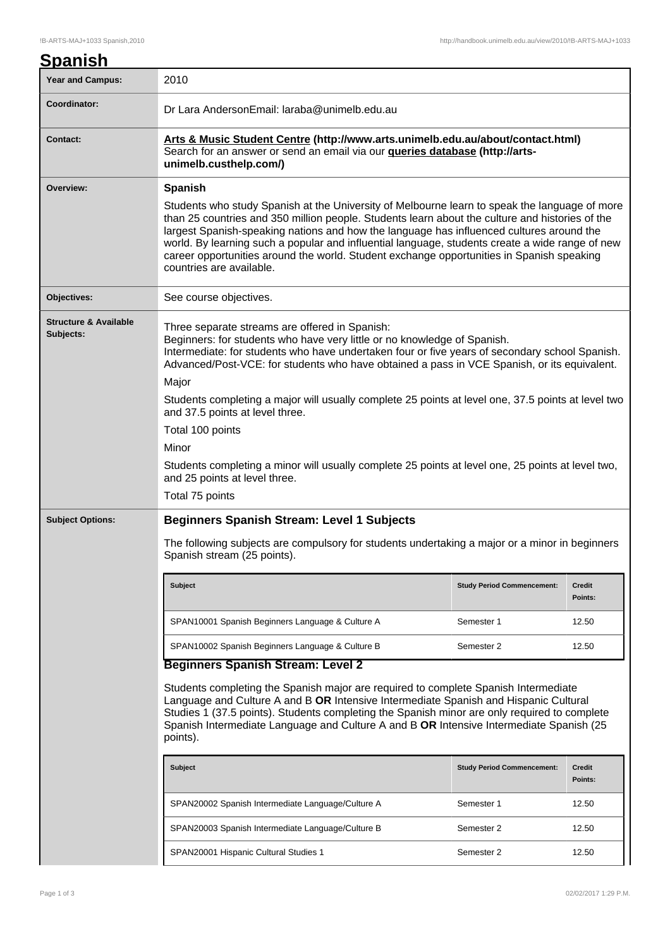|  |  | Spanish |
|--|--|---------|
|  |  |         |

| <b>Year and Campus:</b>                       | 2010                                                                                                                                                                                                                                                                                                                                                                                                                                                                                                                     |                                   |                          |  |  |
|-----------------------------------------------|--------------------------------------------------------------------------------------------------------------------------------------------------------------------------------------------------------------------------------------------------------------------------------------------------------------------------------------------------------------------------------------------------------------------------------------------------------------------------------------------------------------------------|-----------------------------------|--------------------------|--|--|
| Coordinator:                                  | Dr Lara AndersonEmail: laraba@unimelb.edu.au                                                                                                                                                                                                                                                                                                                                                                                                                                                                             |                                   |                          |  |  |
| <b>Contact:</b>                               | Arts & Music Student Centre (http://www.arts.unimelb.edu.au/about/contact.html)<br>Search for an answer or send an email via our queries database (http://arts-<br>unimelb.custhelp.com/)                                                                                                                                                                                                                                                                                                                                |                                   |                          |  |  |
| Overview:                                     | Spanish                                                                                                                                                                                                                                                                                                                                                                                                                                                                                                                  |                                   |                          |  |  |
|                                               | Students who study Spanish at the University of Melbourne learn to speak the language of more<br>than 25 countries and 350 million people. Students learn about the culture and histories of the<br>largest Spanish-speaking nations and how the language has influenced cultures around the<br>world. By learning such a popular and influential language, students create a wide range of new<br>career opportunities around the world. Student exchange opportunities in Spanish speaking<br>countries are available. |                                   |                          |  |  |
| Objectives:                                   | See course objectives.                                                                                                                                                                                                                                                                                                                                                                                                                                                                                                   |                                   |                          |  |  |
| <b>Structure &amp; Available</b><br>Subjects: | Three separate streams are offered in Spanish:<br>Beginners: for students who have very little or no knowledge of Spanish.<br>Intermediate: for students who have undertaken four or five years of secondary school Spanish.<br>Advanced/Post-VCE: for students who have obtained a pass in VCE Spanish, or its equivalent.<br>Major                                                                                                                                                                                     |                                   |                          |  |  |
|                                               | Students completing a major will usually complete 25 points at level one, 37.5 points at level two<br>and 37.5 points at level three.                                                                                                                                                                                                                                                                                                                                                                                    |                                   |                          |  |  |
|                                               | Total 100 points                                                                                                                                                                                                                                                                                                                                                                                                                                                                                                         |                                   |                          |  |  |
|                                               | Minor                                                                                                                                                                                                                                                                                                                                                                                                                                                                                                                    |                                   |                          |  |  |
|                                               | Students completing a minor will usually complete 25 points at level one, 25 points at level two,<br>and 25 points at level three.                                                                                                                                                                                                                                                                                                                                                                                       |                                   |                          |  |  |
|                                               | Total 75 points                                                                                                                                                                                                                                                                                                                                                                                                                                                                                                          |                                   |                          |  |  |
| <b>Subject Options:</b>                       | <b>Beginners Spanish Stream: Level 1 Subjects</b>                                                                                                                                                                                                                                                                                                                                                                                                                                                                        |                                   |                          |  |  |
|                                               | The following subjects are compulsory for students undertaking a major or a minor in beginners<br>Spanish stream (25 points).                                                                                                                                                                                                                                                                                                                                                                                            |                                   |                          |  |  |
|                                               | Subject                                                                                                                                                                                                                                                                                                                                                                                                                                                                                                                  | <b>Study Period Commencement:</b> | <b>Credit</b><br>Points: |  |  |
|                                               | SPAN10001 Spanish Beginners Language & Culture A                                                                                                                                                                                                                                                                                                                                                                                                                                                                         | Semester 1                        | 12.50                    |  |  |
|                                               | SPAN10002 Spanish Beginners Language & Culture B                                                                                                                                                                                                                                                                                                                                                                                                                                                                         | Semester 2                        | 12.50                    |  |  |
|                                               | <b>Beginners Spanish Stream: Level 2</b>                                                                                                                                                                                                                                                                                                                                                                                                                                                                                 |                                   |                          |  |  |
|                                               | Students completing the Spanish major are required to complete Spanish Intermediate<br>Language and Culture A and B OR Intensive Intermediate Spanish and Hispanic Cultural<br>Studies 1 (37.5 points). Students completing the Spanish minor are only required to complete<br>Spanish Intermediate Language and Culture A and B OR Intensive Intermediate Spanish (25<br>points).                                                                                                                                       |                                   |                          |  |  |
|                                               | <b>Subject</b>                                                                                                                                                                                                                                                                                                                                                                                                                                                                                                           | <b>Study Period Commencement:</b> | <b>Credit</b><br>Points: |  |  |
|                                               | SPAN20002 Spanish Intermediate Language/Culture A                                                                                                                                                                                                                                                                                                                                                                                                                                                                        | Semester 1                        | 12.50                    |  |  |
|                                               | SPAN20003 Spanish Intermediate Language/Culture B                                                                                                                                                                                                                                                                                                                                                                                                                                                                        | Semester 2                        | 12.50                    |  |  |
|                                               | SPAN20001 Hispanic Cultural Studies 1                                                                                                                                                                                                                                                                                                                                                                                                                                                                                    | Semester 2                        | 12.50                    |  |  |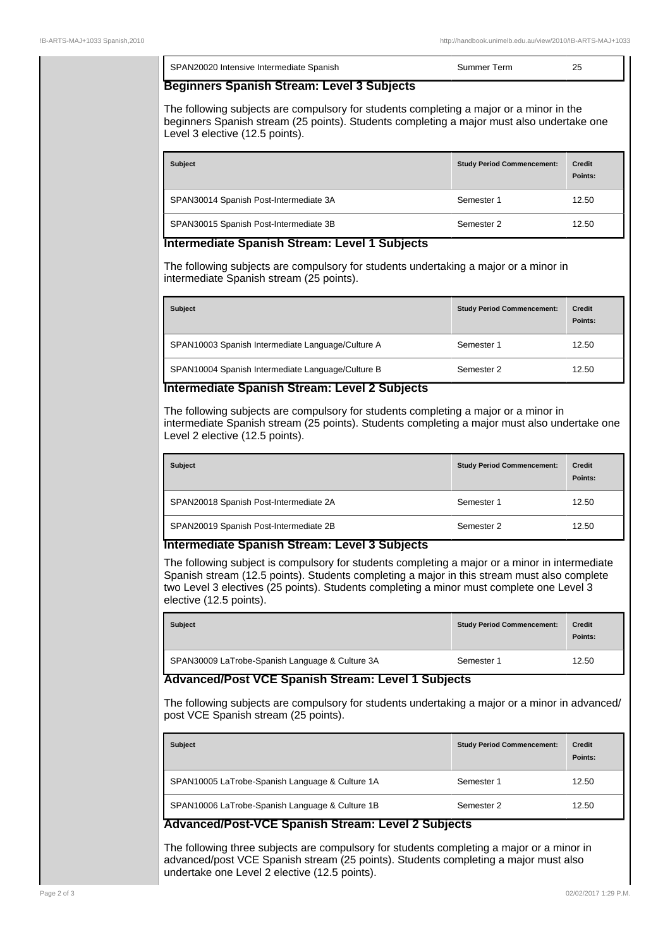|                                                                                                                                                                                                                                                                                                                                     | Summer Term                       | 25                                                                                |
|-------------------------------------------------------------------------------------------------------------------------------------------------------------------------------------------------------------------------------------------------------------------------------------------------------------------------------------|-----------------------------------|-----------------------------------------------------------------------------------|
| SPAN20020 Intensive Intermediate Spanish<br><b>Beginners Spanish Stream: Level 3 Subjects</b>                                                                                                                                                                                                                                       |                                   |                                                                                   |
| The following subjects are compulsory for students completing a major or a minor in the<br>beginners Spanish stream (25 points). Students completing a major must also undertake one<br>Level 3 elective (12.5 points).                                                                                                             |                                   |                                                                                   |
| <b>Subject</b>                                                                                                                                                                                                                                                                                                                      | <b>Study Period Commencement:</b> | Credit<br>Points:                                                                 |
| SPAN30014 Spanish Post-Intermediate 3A                                                                                                                                                                                                                                                                                              | Semester 1                        | 12.50                                                                             |
| SPAN30015 Spanish Post-Intermediate 3B                                                                                                                                                                                                                                                                                              | Semester 2                        | 12.50                                                                             |
| intermediate Spanish stream (25 points).                                                                                                                                                                                                                                                                                            |                                   |                                                                                   |
| Subject                                                                                                                                                                                                                                                                                                                             | <b>Study Period Commencement:</b> | <b>Credit</b><br>Points:                                                          |
| SPAN10003 Spanish Intermediate Language/Culture A                                                                                                                                                                                                                                                                                   | Semester 1                        |                                                                                   |
| SPAN10004 Spanish Intermediate Language/Culture B<br><b>Intermediate Spanish Stream: Level 2 Subjects</b><br>The following subjects are compulsory for students completing a major or a minor in<br>intermediate Spanish stream (25 points). Students completing a major must also undertake one<br>Level 2 elective (12.5 points). | Semester 2                        |                                                                                   |
| Subject                                                                                                                                                                                                                                                                                                                             | <b>Study Period Commencement:</b> |                                                                                   |
| SPAN20018 Spanish Post-Intermediate 2A                                                                                                                                                                                                                                                                                              | Semester 1                        |                                                                                   |
| SPAN20019 Spanish Post-Intermediate 2B                                                                                                                                                                                                                                                                                              | Semester 2                        |                                                                                   |
| <b>Intermediate Spanish Stream: Level 3 Subjects</b>                                                                                                                                                                                                                                                                                |                                   |                                                                                   |
| The following subject is compulsory for students completing a major or a minor in intermediate<br>Spanish stream (12.5 points). Students completing a major in this stream must also complete<br>two Level 3 electives (25 points). Students completing a minor must complete one Level 3<br>elective (12.5 points).                |                                   |                                                                                   |
| <b>Subject</b>                                                                                                                                                                                                                                                                                                                      | <b>Study Period Commencement:</b> | 12.50<br>12.50<br><b>Credit</b><br>Points:<br>12.50<br>12.50<br>Credit<br>Points: |

## **Advanced/Post-VCE Spanish Stream: Level 2 Subjects**

The following three subjects are compulsory for students completing a major or a minor in advanced/post VCE Spanish stream (25 points). Students completing a major must also undertake one Level 2 elective (12.5 points).